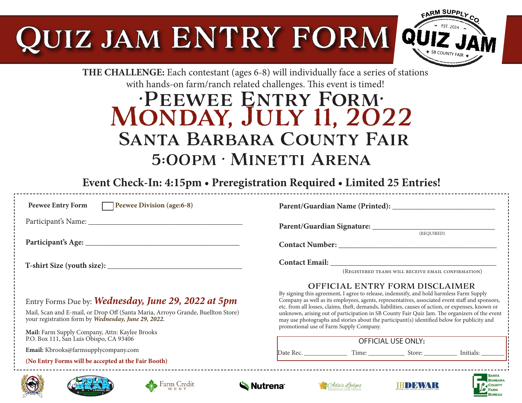# UIZ JAM ENTRY FORM



**RUPEAU** 

**THE CHALLENGE:** Each contestant (ages 6-8) will individually face a series of stations with hands-on farm/ranch related challenges. This event is timed!

## •Peewee Entry Form• Monday, July 11, 2022 Santa Barbara County Fair 5:00pm • Minetti Arena

**Event Check-In: 4:15pm • Preregistration Required • Limited 25 Entries!**

| Peewee Division (age: 6-8)<br><b>Peewee Entry Form</b>                                                                                                                                                                                          |                                                                                                                                                                                                                                                                                                                                                                                                                                                                                                                                                                                      |
|-------------------------------------------------------------------------------------------------------------------------------------------------------------------------------------------------------------------------------------------------|--------------------------------------------------------------------------------------------------------------------------------------------------------------------------------------------------------------------------------------------------------------------------------------------------------------------------------------------------------------------------------------------------------------------------------------------------------------------------------------------------------------------------------------------------------------------------------------|
|                                                                                                                                                                                                                                                 | (REQUIRED)                                                                                                                                                                                                                                                                                                                                                                                                                                                                                                                                                                           |
|                                                                                                                                                                                                                                                 |                                                                                                                                                                                                                                                                                                                                                                                                                                                                                                                                                                                      |
|                                                                                                                                                                                                                                                 | (REGISTERED TEAMS WILL RECEIVE EMAIL CONFIRMATION)                                                                                                                                                                                                                                                                                                                                                                                                                                                                                                                                   |
| Entry Forms Due by: Wednesday, June 29, 2022 at 5pm<br>Mail, Scan and E-mail, or Drop Off (Santa Maria, Arroyo Grande, Buellton Store)<br>your registration form by Wednesday, June 29, 2022.<br>Mail: Farm Supply Company, Attn: Kaylee Brooks | <b>OFFICIAL ENTRY FORM DISCLAIMER</b><br>By signing this agreement, I agree to release, indemnify, and hold harmless Farm Supply<br>Company as well as its employees, agents, representatives, associated event staff and sponsors,<br>etc. from all losses, claims, theft, demands, liabilities, causes of action, or expenses, known or<br>unknown, arising out of participation in SB County Fair Quiz Jam. The organizers of the event<br>may use photographs and stories about the participant(s) identified below for publicity and<br>promotional use of Farm Supply Company. |
| P.O. Box 111, San Luis Obispo, CA 93406                                                                                                                                                                                                         | <b>OFFICIAL USE ONLY:</b>                                                                                                                                                                                                                                                                                                                                                                                                                                                                                                                                                            |
| Email: Kbrooks@farmsupplycompany.com                                                                                                                                                                                                            |                                                                                                                                                                                                                                                                                                                                                                                                                                                                                                                                                                                      |
| (No Entry Forms will be accepted at the Fair Booth)                                                                                                                                                                                             |                                                                                                                                                                                                                                                                                                                                                                                                                                                                                                                                                                                      |
| Nutrena <sup>®</sup>                                                                                                                                                                                                                            | <b>BARBARA</b><br>(Ada's Lodges<br><b>COUNTY</b>                                                                                                                                                                                                                                                                                                                                                                                                                                                                                                                                     |